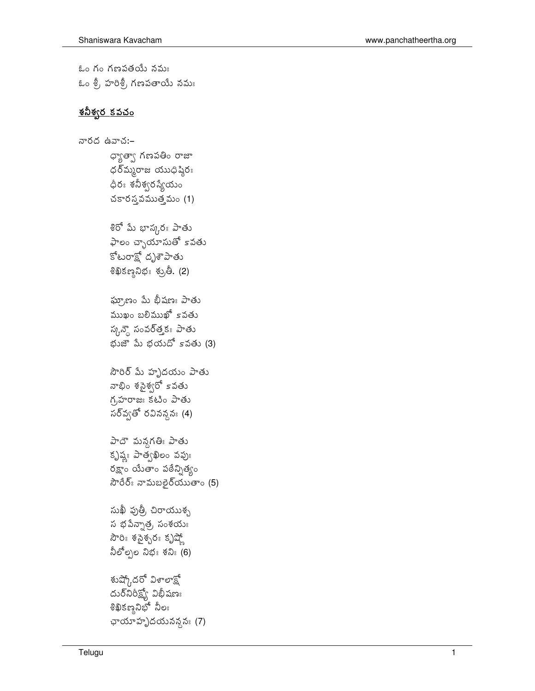ఓం గం గణపతయే నమః ఓం శ్రీ, హరిశ్రీ, గణపతాయే నమః

## <u>శనీశ్వర కవచం</u>

```
నారద ఉవాచ:-
        ధ్యాత్వా గణపతిం రాజా
        ధర్మ్మరాజ యుధిష్ఠిరః
        ధీరః శనీశ్వరస్యేయం
        చకారస్త వముత్తమం(1)శిరో మీ భాస్కరః పాతు
        ఫాలం చ్ఛాయాసుతో కవతు
       కోటరాక్ష<sup>ి</sup> దృశాపాతు
        \frac{1}{2}ซึมธรรมอี. (2)
        ఘ్రాణం మే భీషణః పాతు
        ముఖం బలిముఖో కావతు
        స్కన్డె సంవర్త్తకః పాతు
        భుజౌపు భయదోsవతు (3)
        సౌరిర్ మీ హృదయం పాతు
        నాభిం శసైశ్వరో కవతు
        గ్రహ రాజః కటిం పాతు
        సర్వ్వతో రవినన్ద^{\circ} (4)
        పాదౌ మన్గతిః పాతు
        కృష్ణః పాత్వఖిలం వపుః
        \deltaష్ణాం యేతాం పఠేన్నిత్యం
        సౌరేర్ః నామబలైర్యుతాం (5)
        సుఖీ పుత్రీ చిరాయుశ్చ
        \tilde{a} భవేన్సాత్ర, సంశయః
        సౌరిః శసైశ్చరః కృష్ణో
        నీలోల్పల నిభః శనిః (6)
        శుష్కోదరో విశాలాక్షో
        దుర్ నిరీష్ణ విభీషణః
        శిఖికణ్శనిభో నీలః
        \varphiచూహృదయనన్నః (7)
```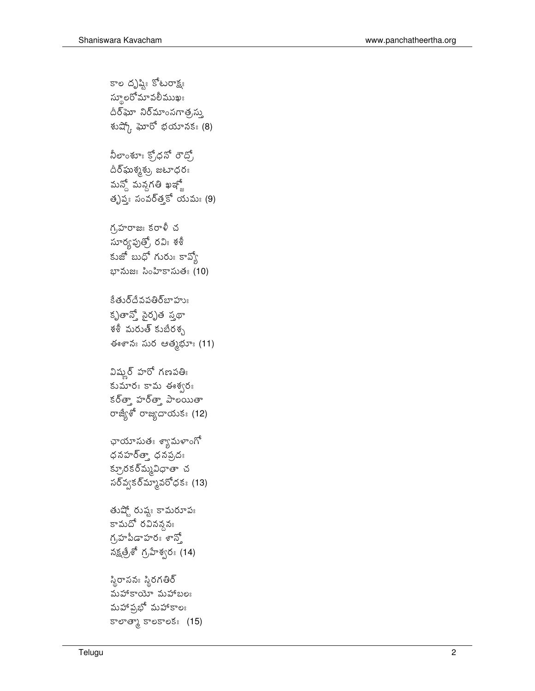```
దీర్ఘశృశ్రు, జటాధరః
మన్తో మన్గతి ఖఞ్ణో
తృప్య: సంవర్త్ కో యమ: (9)
గ,హరాజః కరాళీ చ
సూర్యపుత్రో, రవిః శశీ
కుజో బుధో గురుః కావ్వో
భానుజః సింహికాసుతః (10)
కేతుర్దేవపతిర్జాహుః
కృతాన్తో సైరృత స్త్రధా
శశీ మరుత్ కుబేరశ్చ
ఈశానః సుర ఆత్మభూః (11)
విష్మర్ హరో గణపతిః
కుమారః కామ ఈశ్వరః
కర్త్తా హర్త్తా పాలయితా
రాజ్యేశో రాజ్యదాయకః (12)
ఛాయాసుతః శ్యామళాంగో
ధనహర్త్తా ధనప్రవః
క్రూరకర్మ్మవిధాతా చ
\deltaనర్వ\deltaన్నూవరోధక: (13)
తుష్తో రుష్య కామరూపః
కామదో రవినన్గమ
గ్రహీపీడాహరః శాన్తో
నక్షత్రేశో గ్రహేశ్వరః (14)
స్థిరాసనః స్థిరగతిర్
మహాకాయో మహాబలః
మహాప్రభో మహాకాలః
కాలాత్కా కాలకాలకః (15)
```
కాల దృష్టిః కోటరాక్ష్య స్థూలరోమావలీముఖః దీర్ఘా నిర్మాంసగాత్రన్ను శుష్కో ఘోరో భయానక: (8)

నీలాంశూః క్రోధనో రౌద్రో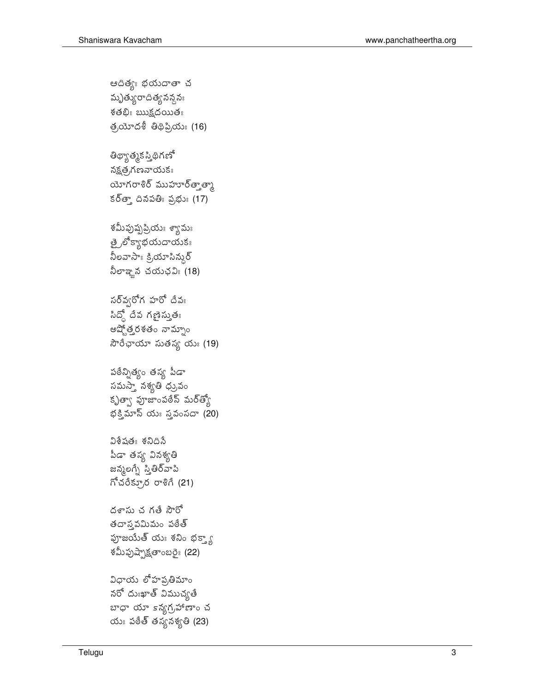## విధాయ లోహప్రతిమాం నరో దుఃఖాత్ విముచ్యతే బాధా యా 5న్యగ్రహాణాం చ యుఃపఠేత్ తస్య నశ్యతి (23)

హాజయేత్ యః శనిం భక్త్యా శమీఫుష్బాక్షతాంబరైః (22)

ධිశ්షతః శనిదిసే పీడా తస్య వినశ్యతి జన్మలగ్నే స్తితీర్వాపి గోచరేక్రూర రాశిగే (21)

దశాసు చ గతే సౌరో తదాస్తమిమం పఠేత్

పఠేన్నిత్యం తస్య పీడా సమస్తా నశ్యతి ధ్రువం కృత్యా పూజాంపఠేస్ మర్త్యో భక్తిమాస్ యః స్తవంసదా  $(20)$ 

సర్వ్వరోగ హరో దేవః  $\delta$ నిద్దో దేవ గణైస్తుతః అష్టోత్తరశతం నామ్నాం సౌరేఛాయా సుతస్య యః (19)

శమీఫుషృప్రియః శ్యామః త్రైలోక్యాభయదాయకః నీలవాసాః క్రియాసిన్నర్ నీలాఞన చయఛవిః $(18)$ 

తిధ్యాత్మక స్తిధిగణో నక్షత,గణనాయుక $_3$ యోగరాశిర్ ముహూర్త్తాళ్ళ కర్త్తా దినపతిః ప్రభుః (17)

ఆదిత్యః భయదాతా చ మృత్యురాదిత్య నన్న నః  $\check{\delta}$ తభిః $\text{ any}$ ప్రదయితః త్రయోదశీ తిథిప్రియః (16)

3